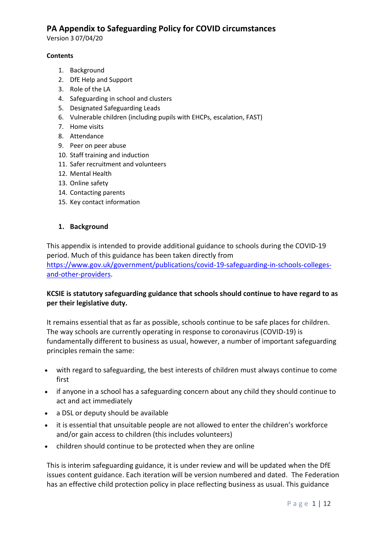Version 3 07/04/20

#### **Contents**

- 1. Background
- 2. DfE Help and Support
- 3. Role of the LA
- 4. Safeguarding in school and clusters
- 5. Designated Safeguarding Leads
- 6. Vulnerable children (including pupils with EHCPs, escalation, FAST)
- 7. Home visits
- 8. Attendance
- 9. Peer on peer abuse
- 10. Staff training and induction
- 11. Safer recruitment and volunteers
- 12. Mental Health
- 13. Online safety
- 14. Contacting parents
- 15. Key contact information

### **1. Background**

This appendix is intended to provide additional guidance to schools during the COVID-19 period. Much of this guidance has been taken directly from

[https://www.gov.uk/government/publications/covid-19-safeguarding-in-schools-colleges](https://www.gov.uk/government/publications/covid-19-safeguarding-in-schools-colleges-and-other-providers)[and-other-providers.](https://www.gov.uk/government/publications/covid-19-safeguarding-in-schools-colleges-and-other-providers)

### **KCSIE is statutory safeguarding guidance that schools should continue to have regard to as per their legislative duty.**

It remains essential that as far as possible, schools continue to be safe places for children. The way schools are currently operating in response to coronavirus (COVID-19) is fundamentally different to business as usual, however, a number of important safeguarding principles remain the same:

- with regard to safeguarding, the best interests of children must always continue to come first
- if anyone in a school has a safeguarding concern about any child they should continue to act and act immediately
- a DSL or deputy should be available
- it is essential that unsuitable people are not allowed to enter the children's workforce and/or gain access to children (this includes volunteers)
- children should continue to be protected when they are online

This is interim safeguarding guidance, it is under review and will be updated when the DfE issues content guidance. Each iteration will be version numbered and dated. The Federation has an effective child protection policy in place reflecting business as usual. This guidance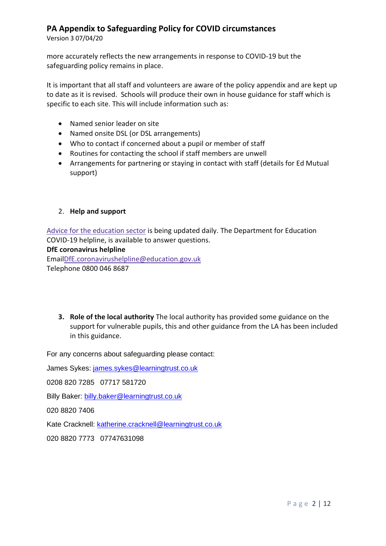Version 3 07/04/20

more accurately reflects the new arrangements in response to COVID-19 but the safeguarding policy remains in place.

It is important that all staff and volunteers are aware of the policy appendix and are kept up to date as it is revised. Schools will produce their own in house guidance for staff which is specific to each site. This will include information such as:

- Named senior leader on site
- Named onsite DSL (or DSL arrangements)
- Who to contact if concerned about a pupil or member of staff
- Routines for contacting the school if staff members are unwell
- Arrangements for partnering or staying in contact with staff (details for Ed Mutual support)

#### 2. **Help and support**

Advice for the [education](https://www.gov.uk/government/collections/coronavirus-covid-19-guidance-for-schools-and-other-educational-settings) sector is being updated daily. The Department for Education COVID-19 helpline, is available to answer questions.

**DfE coronavirus helpline**

Ema[ilDfE.coronavirushelpline@education.gov.uk](mailto:DfE.coronavirushelpline@education.gov.uk) Telephone 0800 046 8687

**3. Role of the local authority** The local authority has provided some guidance on the support for vulnerable pupils, this and other guidance from the LA has been included in this guidance.

For any concerns about safeguarding please contact:

James Sykes: [james.sykes@learningtrust.co.uk](mailto:james.sykes@learningtrust.co.uk)

0208 820 7285 07717 581720

Billy Baker: [billy.baker@learningtrust.co.uk](mailto:billy.baker@learningtrust.co.uk)

020 8820 7406

Kate Cracknell: [katherine.cracknell@learningtrust.co.uk](mailto:katherine.cracknell@learningtrust.co.uk)

020 8820 7773 07747631098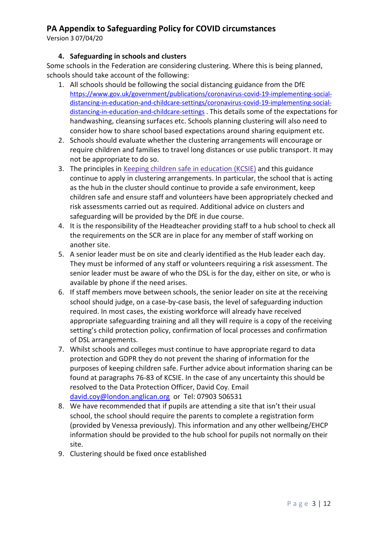Version 3 07/04/20

## **4. Safeguarding in schools and clusters**

Some schools in the Federation are considering clustering. Where this is being planned, schools should take account of the following:

- 1. All schools should be following the social distancing guidance from the DfE [https://www.gov.uk/government/publications/coronavirus-covid-19-implementing-social](https://www.gov.uk/government/publications/coronavirus-covid-19-implementing-social-distancing-in-education-and-childcare-settings/coronavirus-covid-19-implementing-social-distancing-in-education-and-childcare-settings)[distancing-in-education-and-childcare-settings/coronavirus-covid-19-implementing-social](https://www.gov.uk/government/publications/coronavirus-covid-19-implementing-social-distancing-in-education-and-childcare-settings/coronavirus-covid-19-implementing-social-distancing-in-education-and-childcare-settings)[distancing-in-education-and-childcare-settings](https://www.gov.uk/government/publications/coronavirus-covid-19-implementing-social-distancing-in-education-and-childcare-settings/coronavirus-covid-19-implementing-social-distancing-in-education-and-childcare-settings) . This details some of the expectations for handwashing, cleansing surfaces etc. Schools planning clustering will also need to consider how to share school based expectations around sharing equipment etc.
- 2. Schools should evaluate whether the clustering arrangements will encourage or require children and families to travel long distances or use public transport. It may not be appropriate to do so.
- 3. The principles in Keeping children safe in [education](https://www.gov.uk/government/publications/keeping-children-safe-in-education--2) (KCSIE) and this guidance continue to apply in clustering arrangements. In particular, the school that is acting as the hub in the cluster should continue to provide a safe environment, keep children safe and ensure staff and volunteers have been appropriately checked and risk assessments carried out as required. Additional advice on clusters and safeguarding will be provided by the DfE in due course.
- 4. It is the responsibility of the Headteacher providing staff to a hub school to check all the requirements on the SCR are in place for any member of staff working on another site.
- 5. A senior leader must be on site and clearly identified as the Hub leader each day. They must be informed of any staff or volunteers requiring a risk assessment. The senior leader must be aware of who the DSL is for the day, either on site, or who is available by phone if the need arises.
- 6. If staff members move between schools, the senior leader on site at the receiving school should judge, on a case-by-case basis, the level of safeguarding induction required. In most cases, the existing workforce will already have received appropriate safeguarding training and all they will require is a copy of the receiving setting's child protection policy, confirmation of local processes and confirmation of DSL arrangements.
- 7. Whilst schools and colleges must continue to have appropriate regard to data protection and GDPR they do not prevent the sharing of information for the purposes of keeping children safe. Further advice about information sharing can be found at paragraphs 76-83 of KCSIE. In the case of any uncertainty this should be resolved to the Data Protection Officer, David Coy. Email [david.coy@london.anglican.org](mailto:david.coy@london.anglican.org) or Tel: 07903 506531
- 8. We have recommended that if pupils are attending a site that isn't their usual school, the school should require the parents to complete a registration form (provided by Venessa previously). This information and any other wellbeing/EHCP information should be provided to the hub school for pupils not normally on their site.
- 9. Clustering should be fixed once established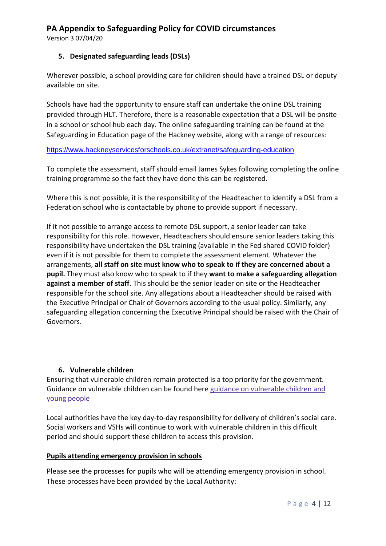Version 3 07/04/20

## **5. Designated safeguarding leads (DSLs)**

Wherever possible, a school providing care for children should have a trained DSL or deputy available on site.

Schools have had the opportunity to ensure staff can undertake the online DSL training provided through HLT. Therefore, there is a reasonable expectation that a DSL will be onsite in a school or school hub each day. The online safeguarding training can be found at the Safeguarding in Education page of the Hackney website, along with a range of resources:

<https://www.hackneyservicesforschools.co.uk/extranet/safeguarding-education>

To complete the assessment, staff should email James Sykes following completing the online training programme so the fact they have done this can be registered.

Where this is not possible, it is the responsibility of the Headteacher to identify a DSL from a Federation school who is contactable by phone to provide support if necessary.

If it not possible to arrange access to remote DSL support, a senior leader can take responsibility for this role. However, Headteachers should ensure senior leaders taking this responsibility have undertaken the DSL training (available in the Fed shared COVID folder) even if it is not possible for them to complete the assessment element. Whatever the arrangements, **all staff on site must know who to speak to if they are concerned about a pupil.** They must also know who to speak to if they **want to make a safeguarding allegation against a member of staff**. This should be the senior leader on site or the Headteacher responsible for the school site. Any allegations about a Headteacher should be raised with the Executive Principal or Chair of Governors according to the usual policy. Similarly, any safeguarding allegation concerning the Executive Principal should be raised with the Chair of Governors.

## **6. Vulnerable children**

Ensuring that vulnerable children remain protected is a top priority for the government. Guidance on vulnerable children can be found here guidance on [vulnerable](https://www.gov.uk/government/publications/coronavirus-covid-19-guidance-on-vulnerable-children-and-young-people/coronavirus-covid-19-guidance-on-vulnerable-children-and-young-people) children and young [people](https://www.gov.uk/government/publications/coronavirus-covid-19-guidance-on-vulnerable-children-and-young-people/coronavirus-covid-19-guidance-on-vulnerable-children-and-young-people)

Local authorities have the key day-to-day responsibility for delivery of children's social care. Social workers and VSHs will continue to work with vulnerable children in this difficult period and should support these children to access this provision.

## **Pupils attending emergency provision in schools**

Please see the processes for pupils who will be attending emergency provision in school. These processes have been provided by the Local Authority: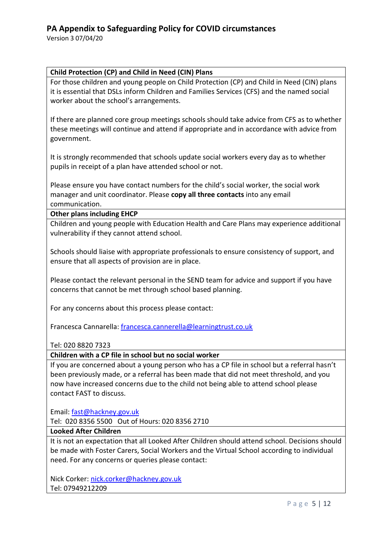Version 3 07/04/20

### **Child Protection (CP) and Child in Need (CIN) Plans**

For those children and young people on Child Protection (CP) and Child in Need (CIN) plans it is essential that DSLs inform Children and Families Services (CFS) and the named social worker about the school's arrangements.

If there are planned core group meetings schools should take advice from CFS as to whether these meetings will continue and attend if appropriate and in accordance with advice from government.

It is strongly recommended that schools update social workers every day as to whether pupils in receipt of a plan have attended school or not.

Please ensure you have contact numbers for the child's social worker, the social work manager and unit coordinator. Please **copy all three contacts** into any email communication.

#### **Other plans including EHCP**

Children and young people with Education Health and Care Plans may experience additional vulnerability if they cannot attend school.

Schools should liaise with appropriate professionals to ensure consistency of support, and ensure that all aspects of provision are in place.

Please contact the relevant personal in the SEND team for advice and support if you have concerns that cannot be met through school based planning.

For any concerns about this process please contact:

Francesca Cannarella: [francesca.cannerella@learningtrust.co.uk](mailto:francesca.cannerella@learningtrust.co.uk)

Tel: 020 8820 7323

#### **Children with a CP file in school but no social worker**

If you are concerned about a young person who has a CP file in school but a referral hasn't been previously made, or a referral has been made that did not meet threshold, and you now have increased concerns due to the child not being able to attend school please contact FAST to discuss.

Email: [fast@hackney.gov.uk](mailto:fast@hackney.gov.uk)

Tel: 020 8356 5500 Out of Hours: 020 8356 2710

#### **Looked After Children**

It is not an expectation that all Looked After Children should attend school. Decisions should be made with Foster Carers, Social Workers and the Virtual School according to individual need. For any concerns or queries please contact:

Nick Corker: nick.corker@hackney.gov.uk Tel: 07949212209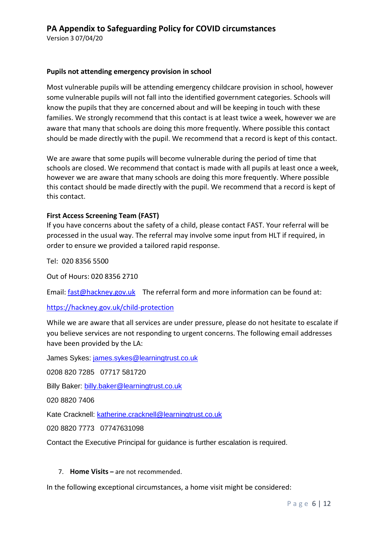Version 3 07/04/20

#### **Pupils not attending emergency provision in school**

Most vulnerable pupils will be attending emergency childcare provision in school, however some vulnerable pupils will not fall into the identified government categories. Schools will know the pupils that they are concerned about and will be keeping in touch with these families. We strongly recommend that this contact is at least twice a week, however we are aware that many that schools are doing this more frequently. Where possible this contact should be made directly with the pupil. We recommend that a record is kept of this contact.

We are aware that some pupils will become vulnerable during the period of time that schools are closed. We recommend that contact is made with all pupils at least once a week, however we are aware that many schools are doing this more frequently. Where possible this contact should be made directly with the pupil. We recommend that a record is kept of this contact.

### **First Access Screening Team (FAST)**

If you have concerns about the safety of a child, please contact FAST. Your referral will be processed in the usual way. The referral may involve some input from HLT if required, in order to ensure we provided a tailored rapid response.

Tel: 020 8356 5500

Out of Hours: 020 8356 2710

Email: [fast@hackney.gov.uk](mailto:fast@hackney.gov.uk) The referral form and more information can be found at:

#### <https://hackney.gov.uk/child-protection>

While we are aware that all services are under pressure, please do not hesitate to escalate if you believe services are not responding to urgent concerns. The following email addresses have been provided by the LA:

James Sykes: [james.sykes@learningtrust.co.uk](mailto:james.sykes@learningtrust.co.uk)

0208 820 7285 07717 581720

Billy Baker: [billy.baker@learningtrust.co.uk](mailto:billy.baker@learningtrust.co.uk)

020 8820 7406

Kate Cracknell: [katherine.cracknell@learningtrust.co.uk](mailto:katherine.cracknell@learningtrust.co.uk)

020 8820 7773 07747631098

Contact the Executive Principal for guidance is further escalation is required.

#### 7. **Home Visits –** are not recommended.

In the following exceptional circumstances, a home visit might be considered: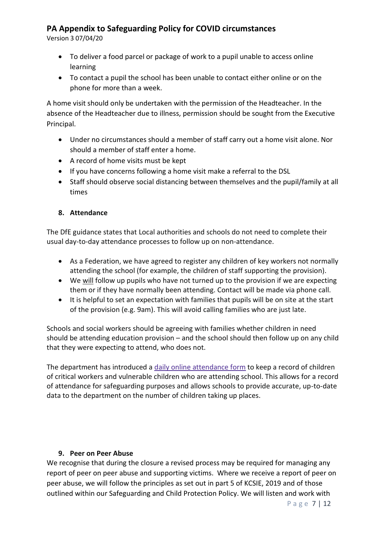Version 3 07/04/20

- To deliver a food parcel or package of work to a pupil unable to access online learning
- To contact a pupil the school has been unable to contact either online or on the phone for more than a week.

A home visit should only be undertaken with the permission of the Headteacher. In the absence of the Headteacher due to illness, permission should be sought from the Executive Principal.

- Under no circumstances should a member of staff carry out a home visit alone. Nor should a member of staff enter a home.
- A record of home visits must be kept
- If you have concerns following a home visit make a referral to the DSL
- Staff should observe social distancing between themselves and the pupil/family at all times

## **8. Attendance**

The DfE guidance states that Local authorities and schools do not need to complete their usual day-to-day attendance processes to follow up on non-attendance.

- As a Federation, we have agreed to register any children of key workers not normally attending the school (for example, the children of staff supporting the provision).
- We will follow up pupils who have not turned up to the provision if we are expecting them or if they have normally been attending. Contact will be made via phone call.
- It is helpful to set an expectation with families that pupils will be on site at the start of the provision (e.g. 9am). This will avoid calling families who are just late.

Schools and social workers should be agreeing with families whether children in need should be attending education provision – and the school should then follow up on any child that they were expecting to attend, who does not.

The department has introduced a daily online [attendance](https://www.gov.uk/government/publications/coronavirus-covid-19-attendance-recording-for-educational-settings) form to keep a record of children of critical workers and vulnerable children who are attending school. This allows for a record of attendance for safeguarding purposes and allows schools to provide accurate, up-to-date data to the department on the number of children taking up places.

## **9. Peer on Peer Abuse**

We recognise that during the closure a revised process may be required for managing any report of peer on peer abuse and supporting victims. Where we receive a report of peer on peer abuse, we will follow the principles as set out in part 5 of KCSIE, 2019 and of those outlined within our Safeguarding and Child Protection Policy. We will listen and work with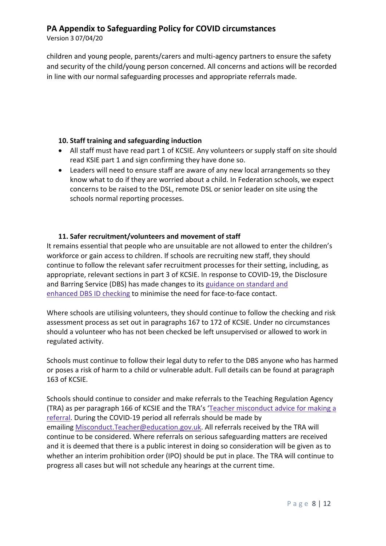Version 3 07/04/20

children and young people, parents/carers and multi-agency partners to ensure the safety and security of the child/young person concerned. All concerns and actions will be recorded in line with our normal safeguarding processes and appropriate referrals made.

## **10. Staff training and safeguarding induction**

- All staff must have read part 1 of KCSIE. Any volunteers or supply staff on site should read KSIE part 1 and sign confirming they have done so.
- Leaders will need to ensure staff are aware of any new local arrangements so they know what to do if they are worried about a child. In Federation schools, we expect concerns to be raised to the DSL, remote DSL or senior leader on site using the schools normal reporting processes.

## **11. Safer recruitment/volunteers and movement of staff**

It remains essential that people who are unsuitable are not allowed to enter the children's workforce or gain access to children. If schools are recruiting new staff, they should continue to follow the relevant safer recruitment processes for their setting, including, as appropriate, relevant sections in part 3 of KCSIE. In response to COVID-19, the Disclosure and Barring Service (DBS) has made changes to its [guidance](https://www.gov.uk/government/news/covid-19-changes-to-standard-and-enhanced-id-checking-guidelines) on standard and [enhanced](https://www.gov.uk/government/news/covid-19-changes-to-standard-and-enhanced-id-checking-guidelines) DBS ID checking to minimise the need for face-to-face contact.

Where schools are utilising volunteers, they should continue to follow the checking and risk assessment process as set out in paragraphs 167 to 172 of KCSIE. Under no circumstances should a volunteer who has not been checked be left unsupervised or allowed to work in regulated activity.

Schools must continue to follow their legal duty to refer to the DBS anyone who has harmed or poses a risk of harm to a child or vulnerable adult. Full details can be found at paragraph 163 of KCSIE.

Schools should continue to consider and make referrals to the Teaching Regulation Agency (TRA) as per paragraph 166 of KCSIE and the TRA's 'Teacher [misconduct](https://www.gov.uk/guidance/teacher-misconduct-referring-a-case) advice for making a [referral.](https://www.gov.uk/guidance/teacher-misconduct-referring-a-case) During the COVID-19 period all referrals should be made by emailing [Misconduct.Teacher@education.gov.uk.](mailto:Misconduct.Teacher@education.gov.uk) All referrals received by the TRA will continue to be considered. Where referrals on serious safeguarding matters are received and it is deemed that there is a public interest in doing so consideration will be given as to whether an interim prohibition order (IPO) should be put in place. The TRA will continue to progress all cases but will not schedule any hearings at the current time.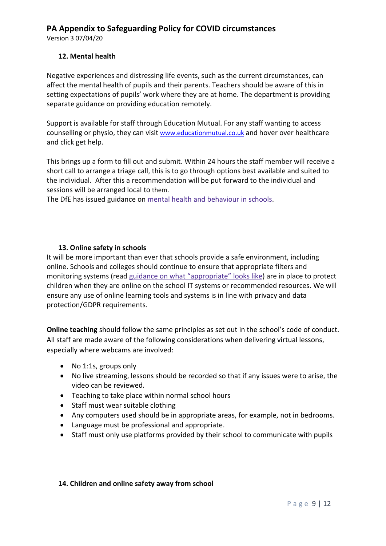Version 3 07/04/20

## **12. Mental health**

Negative experiences and distressing life events, such as the current circumstances, can affect the mental health of pupils and their parents. Teachers should be aware of this in setting expectations of pupils' work where they are at home. The department is providing separate guidance on providing education remotely.

Support is available for staff through Education Mutual. For any staff wanting to access counselling or physio, they can visit [www.educationmutual.co.uk](http://www.educationmutual.co.uk/) and hover over healthcare and click get help.

This brings up a form to fill out and submit. Within 24 hours the staff member will receive a short call to arrange a triage call, this is to go through options best available and suited to the individual. After this a recommendation will be put forward to the individual and sessions will be arranged local to them.

The DfE has issued guidance on mental health and [behaviour](https://www.gov.uk/government/publications/mental-health-and-behaviour-in-schools--2) in schools.

## **13. Online safety in schools**

It will be more important than ever that schools provide a safe environment, including online. Schools and colleges should continue to ensure that appropriate filters and monitoring systems (read guidance on what ["appropriate"](https://www.saferinternet.org.uk/advice-centre/teachers-and-school-staff/appropriate-filtering-and-monitoring) looks like) are in place to protect children when they are online on the school IT systems or recommended resources. We will ensure any use of online learning tools and systems is in line with privacy and data protection/GDPR requirements.

**Online teaching** should follow the same principles as set out in the school's code of conduct. All staff are made aware of the following considerations when delivering virtual lessons, especially where webcams are involved:

- No 1:1s, groups only
- No live streaming, lessons should be recorded so that if any issues were to arise, the video can be reviewed.
- Teaching to take place within normal school hours
- Staff must wear suitable clothing
- Any computers used should be in appropriate areas, for example, not in bedrooms.
- Language must be professional and appropriate.
- Staff must only use platforms provided by their school to communicate with pupils

#### **14. Children and online safety away from school**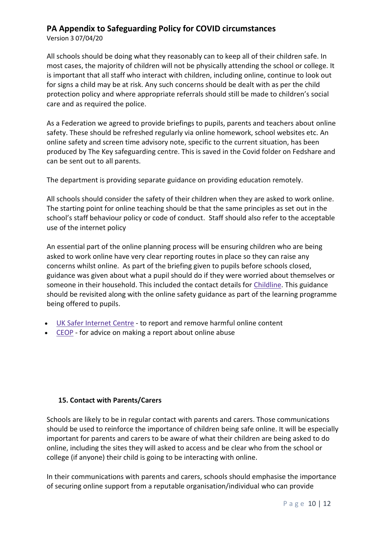Version 3 07/04/20

All schools should be doing what they reasonably can to keep all of their children safe. In most cases, the majority of children will not be physically attending the school or college. It is important that all staff who interact with children, including online, continue to look out for signs a child may be at risk. Any such concerns should be dealt with as per the child protection policy and where appropriate referrals should still be made to children's social care and as required the police.

As a Federation we agreed to provide briefings to pupils, parents and teachers about online safety. These should be refreshed regularly via online homework, school websites etc. An online safety and screen time advisory note, specific to the current situation, has been produced by The Key safeguarding centre. This is saved in the Covid folder on Fedshare and can be sent out to all parents.

The department is providing separate guidance on providing education remotely.

All schools should consider the safety of their children when they are asked to work online. The starting point for online teaching should be that the same principles as set out in the school's staff behaviour policy or code of conduct. Staff should also refer to the acceptable use of the internet policy

An essential part of the online planning process will be ensuring children who are being asked to work online have very clear reporting routes in place so they can raise any concerns whilst online. As part of the briefing given to pupils before schools closed, guidance was given about what a pupil should do if they were worried about themselves or someone in their household. This included the contact details for [Childline.](https://www.childline.org.uk/?utm_source=google&utm_medium=cpc&utm_campaign=UK_GO_S_B_BND_Grant_Childline_Information&utm_term=role_of_childline&gclsrc=aw.ds&&gclid=EAIaIQobChMIlfLRh-ez6AIVRrDtCh1N9QR2EAAYASAAEgLc-vD_BwE&gclsrc=aw.ds) This guidance should be revisited along with the online safety guidance as part of the learning programme being offered to pupils.

- UK Safer [Internet](https://reportharmfulcontent.com/) Centre to report and remove harmful online content
- [CEOP](https://www.ceop.police.uk/safety-centre/) for advice on making a report about online abuse

#### **15. Contact with Parents/Carers**

Schools are likely to be in regular contact with parents and carers. Those communications should be used to reinforce the importance of children being safe online. It will be especially important for parents and carers to be aware of what their children are being asked to do online, including the sites they will asked to access and be clear who from the school or college (if anyone) their child is going to be interacting with online.

In their communications with parents and carers, schools should emphasise the importance of securing online support from a reputable organisation/individual who can provide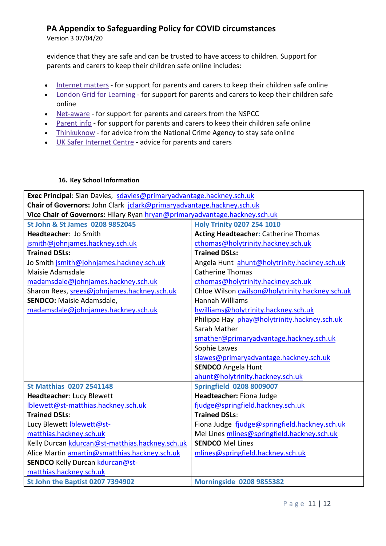Version 3 07/04/20

evidence that they are safe and can be trusted to have access to children. Support for parents and carers to keep their children safe online includes:

- [Internet](https://www.internetmatters.org/?gclid=EAIaIQobChMIktuA5LWK2wIVRYXVCh2afg2aEAAYASAAEgIJ5vD_BwE) matters for support for parents and carers to keep their children safe online
- London Grid for [Learning](http://www.lgfl.net/online-safety/) for support for parents and carers to keep their children safe online
- [Net-aware](https://www.net-aware.org.uk/) for support for parents and careers from the NSPCC
- [Parent](https://parentinfo.org/) info for support for parents and carers to keep their children safe online
- [Thinkuknow](http://www.thinkuknow.co.uk/) for advice from the National Crime Agency to stay safe online
- UK Safer [Internet](https://www.saferinternet.org.uk/advice-centre/parents-and-carers) Centre advice for parents and carers

#### **16. Key School Information**

| Exec Principal: Sian Davies, sdavies@primaryadvantage.hackney.sch.uk       |                                                 |
|----------------------------------------------------------------------------|-------------------------------------------------|
| Chair of Governors: John Clark jclark@primaryadvantage.hackney.sch.uk      |                                                 |
| Vice Chair of Governors: Hilary Ryan hryan@primaryadvantage.hackney.sch.uk |                                                 |
| St John & St James 0208 9852045                                            | <b>Holy Trinity 0207 254 1010</b>               |
| Headteacher: Jo Smith                                                      | <b>Acting Headteacher: Catherine Thomas</b>     |
| jsmith@johnjames.hackney.sch.uk                                            | cthomas@holytrinity.hackney.sch.uk              |
| <b>Trained DSLs:</b>                                                       | <b>Trained DSLs:</b>                            |
| Jo Smith jsmith@johnjames.hackney.sch.uk                                   | Angela Hunt ahunt@holytrinity.hackney.sch.uk    |
| Maisie Adamsdale                                                           | <b>Catherine Thomas</b>                         |
| madamsdale@johnjames.hackney.sch.uk                                        | cthomas@holytrinity.hackney.sch.uk              |
| Sharon Rees, srees@johnjames.hackney.sch.uk                                | Chloe Wilson cwilson@holytrinity.hackney.sch.uk |
| <b>SENDCO:</b> Maisie Adamsdale,                                           | <b>Hannah Williams</b>                          |
| madamsdale@johnjames.hackney.sch.uk                                        | hwilliams@holytrinity.hackney.sch.uk            |
|                                                                            | Philippa Hay phay@holytrinity.hackney.sch.uk    |
|                                                                            | Sarah Mather                                    |
|                                                                            | smather@primaryadvantage.hackney.sch.uk         |
|                                                                            | Sophie Lawes                                    |
|                                                                            | slawes@primaryadvantage.hackney.sch.uk          |
|                                                                            | <b>SENDCO</b> Angela Hunt                       |
|                                                                            | ahunt@holytrinity.hackney.sch.uk                |
| <b>St Matthias 0207 2541148</b>                                            | <b>Springfield 0208 8009007</b>                 |
| Headteacher: Lucy Blewett                                                  | Headteacher: Fiona Judge                        |
| Iblewett@st-matthias.hackney.sch.uk                                        | fjudge@springfield.hackney.sch.uk               |
| <b>Trained DSLs:</b>                                                       | <b>Trained DSLs:</b>                            |
| Lucy Blewett <b>blewett@st-</b>                                            | Fiona Judge fjudge@springfield.hackney.sch.uk   |
| matthias.hackney.sch.uk                                                    | Mel Lines mlines@springfield.hackney.sch.uk     |
| Kelly Durcan kdurcan@st-matthias.hackney.sch.uk                            | <b>SENDCO Mel Lines</b>                         |
| Alice Martin amartin@smatthias.hackney.sch.uk                              | mlines@springfield.hackney.sch.uk               |
| SENDCO Kelly Durcan kdurcan@st-                                            |                                                 |
| matthias.hackney.sch.uk                                                    |                                                 |
| St John the Baptist 0207 7394902                                           | <b>Morningside 0208 9855382</b>                 |